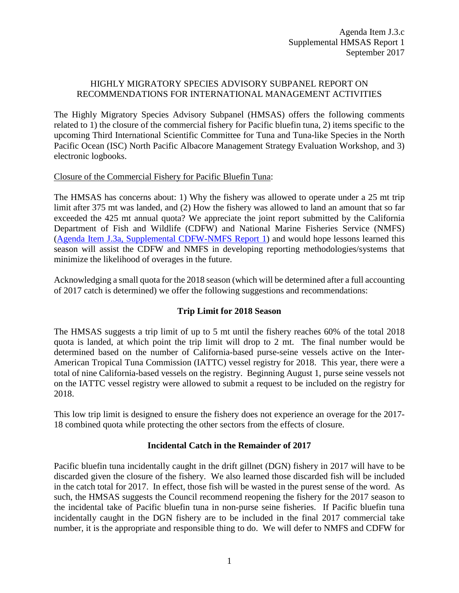# HIGHLY MIGRATORY SPECIES ADVISORY SUBPANEL REPORT ON RECOMMENDATIONS FOR INTERNATIONAL MANAGEMENT ACTIVITIES

The Highly Migratory Species Advisory Subpanel (HMSAS) offers the following comments related to 1) the closure of the commercial fishery for Pacific bluefin tuna, 2) items specific to the upcoming Third International Scientific Committee for Tuna and Tuna-like Species in the North Pacific Ocean (ISC) North Pacific Albacore Management Strategy Evaluation Workshop, and 3) electronic logbooks.

#### Closure of the Commercial Fishery for Pacific Bluefin Tuna:

The HMSAS has concerns about: 1) Why the fishery was allowed to operate under a 25 mt trip limit after 375 mt was landed, and (2) How the fishery was allowed to land an amount that so far exceeded the 425 mt annual quota? We appreciate the joint report submitted by the California Department of Fish and Wildlife (CDFW) and National Marine Fisheries Service (NMFS) (Agenda Item J.3a, Supplemental [CDFW-NMFS Report 1\)](http://www.pcouncil.org/wp-content/uploads/2017/09/J3a_Sup_Joint_CDFW_NMFS_Rpt1_Intl_SEPT2017BB.pdf) and would hope lessons learned this season will assist the CDFW and NMFS in developing reporting methodologies/systems that minimize the likelihood of overages in the future.

Acknowledging a small quota for the 2018 season (which will be determined after a full accounting of 2017 catch is determined) we offer the following suggestions and recommendations:

# **Trip Limit for 2018 Season**

The HMSAS suggests a trip limit of up to 5 mt until the fishery reaches 60% of the total 2018 quota is landed, at which point the trip limit will drop to 2 mt. The final number would be determined based on the number of California-based purse-seine vessels active on the Inter-American Tropical Tuna Commission (IATTC) vessel registry for 2018. This year, there were a total of nine California-based vessels on the registry. Beginning August 1, purse seine vessels not on the IATTC vessel registry were allowed to submit a request to be included on the registry for 2018.

This low trip limit is designed to ensure the fishery does not experience an overage for the 2017- 18 combined quota while protecting the other sectors from the effects of closure.

# **Incidental Catch in the Remainder of 2017**

Pacific bluefin tuna incidentally caught in the drift gillnet (DGN) fishery in 2017 will have to be discarded given the closure of the fishery. We also learned those discarded fish will be included in the catch total for 2017. In effect, those fish will be wasted in the purest sense of the word. As such, the HMSAS suggests the Council recommend reopening the fishery for the 2017 season to the incidental take of Pacific bluefin tuna in non-purse seine fisheries. If Pacific bluefin tuna incidentally caught in the DGN fishery are to be included in the final 2017 commercial take number, it is the appropriate and responsible thing to do. We will defer to NMFS and CDFW for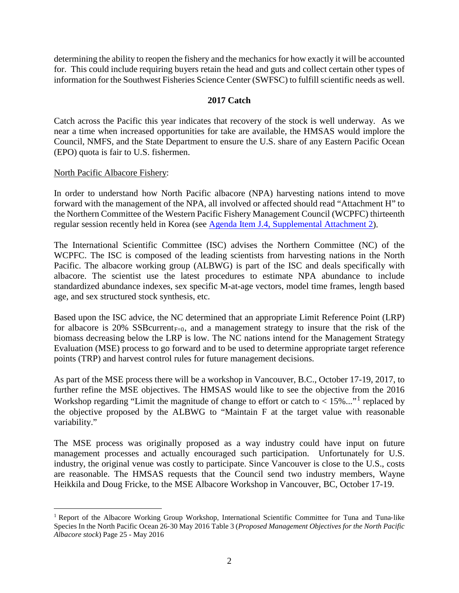determining the ability to reopen the fishery and the mechanics for how exactly it will be accounted for. This could include requiring buyers retain the head and guts and collect certain other types of information for the Southwest Fisheries Science Center (SWFSC) to fulfill scientific needs as well.

### **2017 Catch**

Catch across the Pacific this year indicates that recovery of the stock is well underway. As we near a time when increased opportunities for take are available, the HMSAS would implore the Council, NMFS, and the State Department to ensure the U.S. share of any Eastern Pacific Ocean (EPO) quota is fair to U.S. fishermen.

#### North Pacific Albacore Fishery:

In order to understand how North Pacific albacore (NPA) harvesting nations intend to move forward with the management of the NPA, all involved or affected should read "Attachment H" to the Northern Committee of the Western Pacific Fishery Management Council (WCPFC) thirteenth regular session recently held in Korea (see [Agenda Item J.4, Supplemental Attachment 2\)](http://www.pcouncil.org/wp-content/uploads/2017/09/J3_Sup_Att2_WCPFC_outcomes_SEPT2017BB.pdf).

The International Scientific Committee (ISC) advises the Northern Committee (NC) of the WCPFC. The ISC is composed of the leading scientists from harvesting nations in the North Pacific. The albacore working group (ALBWG) is part of the ISC and deals specifically with albacore. The scientist use the latest procedures to estimate NPA abundance to include standardized abundance indexes, sex specific M-at-age vectors, model time frames, length based age, and sex structured stock synthesis, etc.

Based upon the ISC advice, the NC determined that an appropriate Limit Reference Point (LRP) for albacore is 20% SSB current<sub>F=0</sub>, and a management strategy to insure that the risk of the biomass decreasing below the LRP is low. The NC nations intend for the Management Strategy Evaluation (MSE) process to go forward and to be used to determine appropriate target reference points (TRP) and harvest control rules for future management decisions.

As part of the MSE process there will be a workshop in Vancouver, B.C., October 17-19, 2017, to further refine the MSE objectives. The HMSAS would like to see the objective from the 2016 Workshop regarding "Limit the magnitude of change to effort or catch to  $< 15\%...$  $< 15\%...$  $< 15\%...$ " replaced by the objective proposed by the ALBWG to "Maintain F at the target value with reasonable variability."

The MSE process was originally proposed as a way industry could have input on future management processes and actually encouraged such participation. Unfortunately for U.S. industry, the original venue was costly to participate. Since Vancouver is close to the U.S., costs are reasonable. The HMSAS requests that the Council send two industry members, Wayne Heikkila and Doug Fricke, to the MSE Albacore Workshop in Vancouver, BC, October 17-19.

<span id="page-1-0"></span> <sup>1</sup> Report of the Albacore Working Group Workshop, International Scientific Committee for Tuna and Tuna‐like Species In the North Pacific Ocean 26‐30 May 2016 Table 3 (*Proposed Management Objectives for the North Pacific Albacore stock*) Page 25 - May 2016